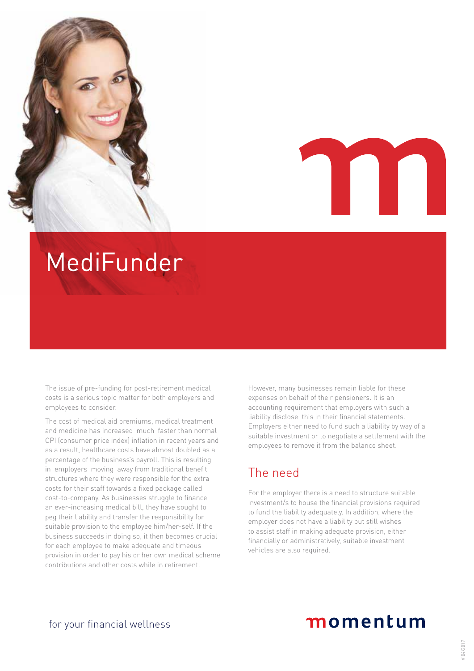

# MediFunder

The issue of pre-funding for post-retirement medical costs is a serious topic matter for both employers and employees to consider.

The cost of medical aid premiums, medical treatment and medicine has increased much faster than normal CPI (consumer price index) inflation in recent years and as a result, healthcare costs have almost doubled as a percentage of the business's payroll. This is resulting in employers moving away from traditional benefit structures where they were responsible for the extra costs for their staff towards a fixed package called cost-to-company. As businesses struggle to finance an ever-increasing medical bill, they have sought to peg their liability and transfer the responsibility for suitable provision to the employee him/her-self. If the business succeeds in doing so, it then becomes crucial for each employee to make adequate and timeous provision in order to pay his or her own medical scheme contributions and other costs while in retirement.

However, many businesses remain liable for these expenses on behalf of their pensioners. It is an accounting requirement that employers with such a liability disclose this in their financial statements. Employers either need to fund such a liability by way of a suitable investment or to negotiate a settlement with the employees to remove it from the balance sheet.

### The need

For the employer there is a need to structure suitable investment/s to house the financial provisions required to fund the liability adequately. In addition, where the employer does not have a liability but still wishes to assist staff in making adequate provision, either financially or administratively, suitable investment vehicles are also required.

## momentum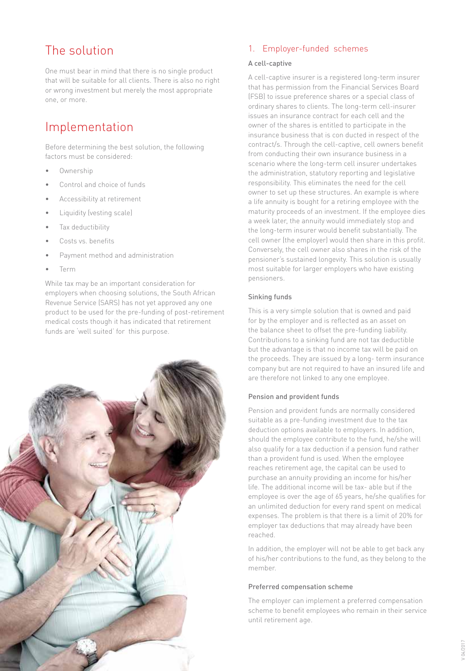## The solution

One must bear in mind that there is no single product that will be suitable for all clients. There is also no right or wrong investment but merely the most appropriate one, or more.

## Implementation

Before determining the best solution, the following factors must be considered:

- Ownership
- Control and choice of funds
- Accessibility at retirement
- Liquidity (vesting scale)
- Tax deductibility
- Costs vs. benefits
- Payment method and administration
- Term

While tax may be an important consideration for employers when choosing solutions, the South African Revenue Service (SARS) has not yet approved any one product to be used for the pre-funding of post-retirement medical costs though it has indicated that retirement funds are 'well suited' for this purpose.



#### 1. Employer-funded schemes

#### A cell-captive

A cell-captive insurer is a registered long-term insurer that has permission from the Financial Services Board (FSB) to issue preference shares or a special class of ordinary shares to clients. The long-term cell-insurer issues an insurance contract for each cell and the owner of the shares is entitled to participate in the insurance business that is con ducted in respect of the contract/s. Through the cell-captive, cell owners benefit from conducting their own insurance business in a scenario where the long-term cell insurer undertakes the administration, statutory reporting and legislative responsibility. This eliminates the need for the cell owner to set up these structures. An example is where a life annuity is bought for a retiring employee with the maturity proceeds of an investment. If the employee dies a week later, the annuity would immediately stop and the long-term insurer would benefit substantially. The cell owner (the employer) would then share in this profit. Conversely, the cell owner also shares in the risk of the pensioner's sustained longevity. This solution is usually most suitable for larger employers who have existing pensioners.

#### Sinking funds

This is a very simple solution that is owned and paid for by the employer and is reflected as an asset on the balance sheet to offset the pre-funding liability. Contributions to a sinking fund are not tax deductible but the advantage is that no income tax will be paid on the proceeds. They are issued by a long- term insurance company but are not required to have an insured life and are therefore not linked to any one employee.

#### Pension and provident funds

Pension and provident funds are normally considered suitable as a pre-funding investment due to the tax deduction options available to employers. In addition, should the employee contribute to the fund, he/she will also qualify for a tax deduction if a pension fund rather than a provident fund is used. When the employee reaches retirement age, the capital can be used to purchase an annuity providing an income for his/her life. The additional income will be tax- able but if the employee is over the age of 65 years, he/she qualifies for an unlimited deduction for every rand spent on medical expenses. The problem is that there is a limit of 20% for employer tax deductions that may already have been reached.

In addition, the employer will not be able to get back any of his/her contributions to the fund, as they belong to the member.

#### Preferred compensation scheme

The employer can implement a preferred compensation scheme to benefit employees who remain in their service until retirement age.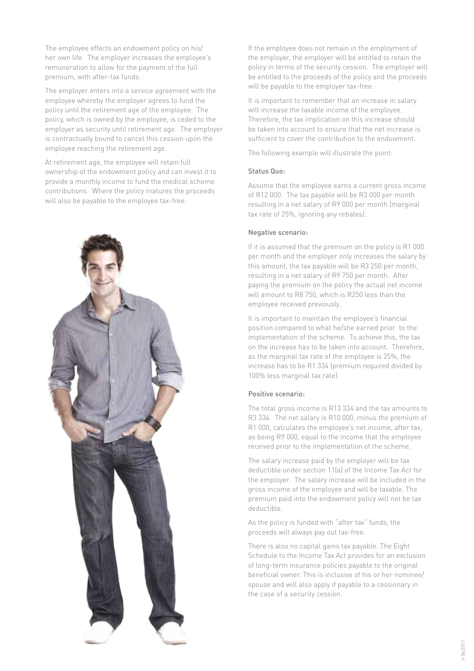The employee effects an endowment policy on his/ her own life. The employer increases the employee's remuneration to allow for the payment of the full premium, with after-tax funds.

The employer enters into a service agreement with the employee whereby the employer agrees to fund the policy until the retirement age of the employee. The policy, which is owned by the employee, is ceded to the employer as security until retirement age. The employer is contractually bound to cancel this cession upon the employee reaching the retirement age.

At retirement age, the employee will retain full ownership of the endowment policy and can invest it to provide a monthly income to fund the medical scheme contributions. Where the policy matures the proceeds will also be payable to the employee tax-free.



If the employee does not remain in the employment of the employer, the employer will be entitled to retain the policy in terms of the security cession. The employer will be entitled to the proceeds of the policy and the proceeds will be payable to the employer tax-free.

It is important to remember that an increase in salary will increase the taxable income of the employee. Therefore, the tax implication on this increase should be taken into account to ensure that the net increase is sufficient to cover the contribution to the endowment.

The following example will illustrate the point:

#### Status Quo:

Assume that the employee earns a current gross income of R12 000. The tax payable will be R3 000 per month resulting in a net salary of R9 000 per month (marginal tax rate of 25%, ignoring any rebates).

#### Negative scenario:

If it is assumed that the premium on the policy is R1 000 per month and the employer only increases the salary by this amount, the tax payable will be R3 250 per month, resulting in a net salary of R9 750 per month. After paying the premium on the policy the actual net income will amount to R8 750, which is R250 less than the employee received previously..

It is important to maintain the employee's financial position compared to what he/she earned prior to the implementation of the scheme. To achieve this, the tax on the increase has to be taken into account. Therefore, as the marginal tax rate of the employee is 25%, the increase has to be R1 334 (premium required divided by 100% less marginal tax rate).

#### Positive scenario:

The total gross income is R13 334 and the tax amounts to R3 334. The net salary is R10 000, minus the premium of R1 000, calculates the employee's net income, after tax, as being R9 000, equal to the income that the employee received prior to the implementation of the scheme.

The salary increase paid by the employer will be tax deductible under section 11(a) of the Income Tax Act for the employer. The salary increase will be included in the gross income of the employee and will be taxable. The premium paid into the endowment policy will not be tax deductible.

As the policy is funded with "after tax" funds, the proceeds will always pay out tax-free.

There is also no capital gains tax payable. The Eight Schedule to the Income Tax Act provides for an exclusion of long-term insurance policies payable to the original beneficial owner. This is inclusive of his or her nominee/ spouse and will also apply if payable to a cessionary in the case of a security cession.